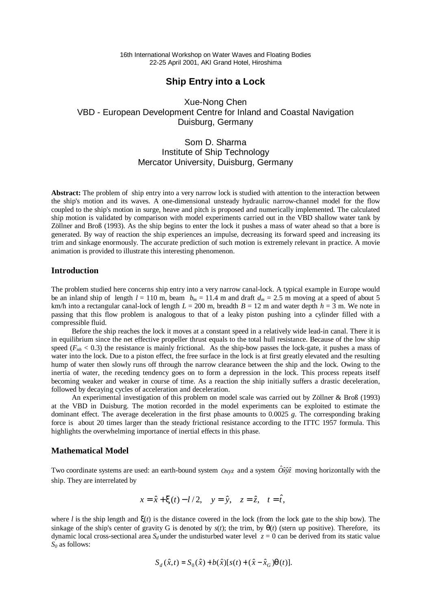16th International Workshop on Water Waves and Floating Bodies 22-25 April 2001, AKI Grand Hotel, Hiroshima

## **Ship Entry into a Lock**

Xue-Nong Chen VBD - European Development Centre for Inland and Coastal Navigation Duisburg, Germany

# Som D. Sharma Institute of Ship Technology Mercator University, Duisburg, Germany

**Abstract:** The problem of ship entry into a very narrow lock is studied with attention to the interaction between the ship's motion and its waves. A one-dimensional unsteady hydraulic narrow-channel model for the flow coupled to the ship's motion in surge, heave and pitch is proposed and numerically implemented. The calculated ship motion is validated by comparison with model experiments carried out in the VBD shallow water tank by Zöllner and Broß (1993). As the ship begins to enter the lock it pushes a mass of water ahead so that a bore is generated. By way of reaction the ship experiences an impulse, decreasing its forward speed and increasing its trim and sinkage enormously. The accurate prediction of such motion is extremely relevant in practice. A movie animation is provided to illustrate this interesting phenomenon.

### **Introduction**

The problem studied here concerns ship entry into a very narrow canal-lock. A typical example in Europe would be an inland ship of length  $l = 110$  m, beam  $b_m = 11.4$  m and draft  $d_m = 2.5$  m moving at a speed of about 5 km/h into a rectangular canal-lock of length  $L = 200$  m, breadth  $B = 12$  m and water depth  $h = 3$  m. We note in passing that this flow problem is analogous to that of a leaky piston pushing into a cylinder filled with a compressible fluid.

Before the ship reaches the lock it moves at a constant speed in a relatively wide lead-in canal. There it is in equilibrium since the net effective propeller thrust equals to the total hull resistance. Because of the low ship speed  $(F_{nh} < 0.3)$  the resistance is mainly frictional. As the ship-bow passes the lock-gate, it pushes a mass of water into the lock. Due to a piston effect, the free surface in the lock is at first greatly elevated and the resulting hump of water then slowly runs off through the narrow clearance between the ship and the lock. Owing to the inertia of water, the receding tendency goes on to form a depression in the lock. This process repeats itself becoming weaker and weaker in course of time. As a reaction the ship initially suffers a drastic deceleration, followed by decaying cycles of acceleration and deceleration.

An experimental investigation of this problem on model scale was carried out by Zöllner & Broß (1993) at the VBD in Duisburg. The motion recorded in the model experiments can be exploited to estimate the dominant effect. The average deceleration in the first phase amounts to 0.0025 *g*. The corresponding braking force is about 20 times larger than the steady frictional resistance according to the ITTC 1957 formula. This highlights the overwhelming importance of inertial effects in this phase.

#### **Mathematical Model**

Two coordinate systems are used: an earth-bound system  $O_{XYZ}$  and a system  $\hat{O}x\hat{y}\hat{z}$  moving horizontally with the ship. They are interrelated by

$$
x = \hat{x} + \mathbf{x}(t) - l/2, \quad y = \hat{y}, \quad z = \hat{z}, \quad t = \hat{t},
$$

where *l* is the ship length and  $\mathbf{x}(t)$  is the distance covered in the lock (from the lock gate to the ship bow). The sinkage of the ship's center of gravity G is denoted by  $s(t)$ ; the trim, by  $\alpha(t)$  (stern up positive). Therefore, its dynamic local cross-sectional area  $S_d$  under the undisturbed water level  $z = 0$  can be derived from its static value *S0* as follows:

$$
S_d(\hat{x},t) = S_0(\hat{x}) + b(\hat{x})[s(t) + (\hat{x} - \hat{x}_G)q(t)].
$$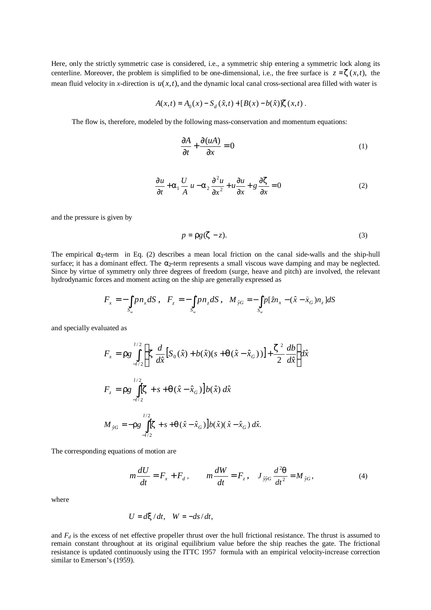Here, only the strictly symmetric case is considered, i.e., a symmetric ship entering a symmetric lock along its centerline. Moreover, the problem is simplified to be one-dimensional, i.e., the free surface is  $z = z(x, t)$ , the mean fluid velocity in *x*-direction is  $u(x,t)$ , and the dynamic local canal cross-sectional area filled with water is

$$
A(x,t) = A_0(x) - S_d(\hat{x},t) + [B(x) - b(\hat{x})]z(x,t).
$$

The flow is, therefore, modeled by the following mass-conservation and momentum equations:

$$
\frac{\partial A}{\partial t} + \frac{\partial (uA)}{\partial x} = 0 \tag{1}
$$

$$
\frac{\partial u}{\partial t} + a_1 \frac{U}{A} u - a_2 \frac{\partial^2 u}{\partial x^2} + u \frac{\partial u}{\partial x} + g \frac{\partial z}{\partial x} = 0
$$
 (2)

and the pressure is given by

$$
p = \mathbf{r}g(\mathbf{z} - z). \tag{3}
$$

The empirical  $\alpha_1$ -term in Eq. (2) describes a mean local friction on the canal side-walls and the ship-hull surface; it has a dominant effect. The  $\alpha_2$ -term represents a small viscous wave damping and may be neglected. Since by virtue of symmetry only three degrees of freedom (surge, heave and pitch) are involved, the relevant hydrodynamic forces and moment acting on the ship are generally expressed as

$$
F_x = -\int_{S_w} p n_x dS \,, \quad F_z = -\int_{S_w} p n_z dS \,, \quad M_{\hat{y}G} = -\int_{S_w} p[\hat{z} n_x - (\hat{x} - \hat{x}_G) n_z] dS
$$

and specially evaluated as

$$
F_x = r g \int_{-l/2}^{l/2} \left\{ z \frac{d}{d\hat{x}} \left[ S_0(\hat{x}) + b(\hat{x})(s + q(\hat{x} - \hat{x}_G)) \right] + \frac{z^2}{2} \frac{db}{d\hat{x}} \right\} d\hat{x}
$$
  
\n
$$
F_z = r g \int_{-l/2}^{l/2} \left[ z + s + q(\hat{x} - \hat{x}_G) \right] b(\hat{x}) d\hat{x}
$$
  
\n
$$
M_{\hat{y}G} = -r g \int_{-l/2}^{l/2} \left[ z + s + q(\hat{x} - \hat{x}_G) \right] b(\hat{x}) (\hat{x} - \hat{x}_G) d\hat{x}.
$$

The corresponding equations of motion are

$$
m\frac{dU}{dt} = F_x + F_d, \qquad m\frac{dW}{dt} = F_z, \quad J_{\hat{y}\hat{y}G} \frac{d^2q}{dt^2} = M_{\hat{y}G}, \tag{4}
$$

where

$$
U = d\mathbf{x}/dt, \quad W = -ds/dt,
$$

and  $F_d$  is the excess of net effective propeller thrust over the hull frictional resistance. The thrust is assumed to remain constant throughout at its original equilibrium value before the ship reaches the gate. The frictional resistance is updated continuously using the ITTC 1957 formula with an empirical velocity-increase correction similar to Emerson's (1959).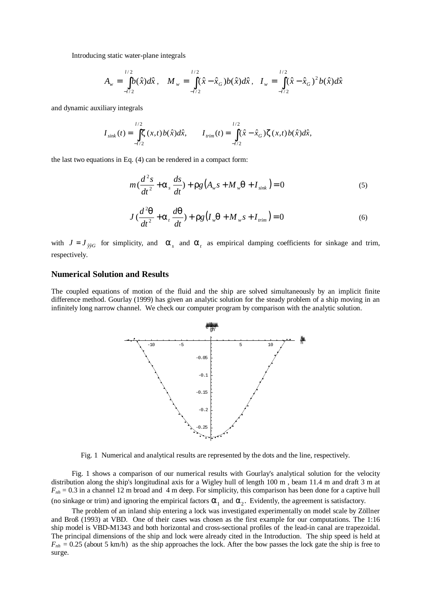Introducing static water-plane integrals

$$
A_w = \int_{-l/2}^{l/2} b(\hat{x}) d\hat{x}, \quad M_w = \int_{-l/2}^{l/2} (\hat{x} - \hat{x}_G) b(\hat{x}) d\hat{x}, \quad I_w = \int_{-l/2}^{l/2} (\hat{x} - \hat{x}_G)^2 b(\hat{x}) d\hat{x}
$$

and dynamic auxiliary integrals

$$
I_{\text{sink}}(t) = \int_{-l/2}^{l/2} \mathbf{z}(x, t) b(\hat{x}) d\hat{x}, \qquad I_{\text{trim}}(t) = \int_{-l/2}^{l/2} (\hat{x} - \hat{x}_G) \mathbf{z}(x, t) b(\hat{x}) d\hat{x},
$$

the last two equations in Eq. (4) can be rendered in a compact form:

$$
m\left(\frac{d^2s}{dt^2} + \mathbf{a}_s\frac{ds}{dt}\right) + \mathbf{r}g\left(A_w s + M_w \mathbf{q} + I_{sink}\right) = 0\tag{5}
$$

$$
J\left(\frac{d^2\mathbf{q}}{dt^2} + \mathbf{a}_t\frac{d\mathbf{q}}{dt}\right) + \mathbf{r}g\left(I_w\mathbf{q} + M_w s + I_{\min}\right) = 0\tag{6}
$$

with  $J = J_{\hat{y}\hat{y}G}$  for simplicity, and  $a_x$  and  $a_t$  as empirical damping coefficients for sinkage and trim, respectively.

#### **Numerical Solution and Results**

The coupled equations of motion of the fluid and the ship are solved simultaneously by an implicit finite difference method. Gourlay (1999) has given an analytic solution for the steady problem of a ship moving in an infinitely long narrow channel. We check our computer program by comparison with the analytic solution.



Fig. 1 Numerical and analytical results are represented by the dots and the line, respectively.

Fig. 1 shows a comparison of our numerical results with Gourlay's analytical solution for the velocity distribution along the ship's longitudinal axis for a Wigley hull of length 100 m , beam 11.4 m and draft 3 m at  $F_{nh}$  = 0.3 in a channel 12 m broad and 4 m deep. For simplicity, this comparison has been done for a captive hull (no sinkage or trim) and ignoring the empirical factors  $a_1$  and  $a_2$ . Evidently, the agreement is satisfactory.

The problem of an inland ship entering a lock was investigated experimentally on model scale by Zöllner and Broß (1993) at VBD. One of their cases was chosen as the first example for our computations. The 1:16

ship model is VBD-M1343 and both horizontal and cross-sectional profiles of the lead-in canal are trapezoidal. The principal dimensions of the ship and lock were already cited in the Introduction. The ship speed is held at  $F_{nh} = 0.25$  (about 5 km/h) as the ship approaches the lock. After the bow passes the lock gate the ship is free to surge.